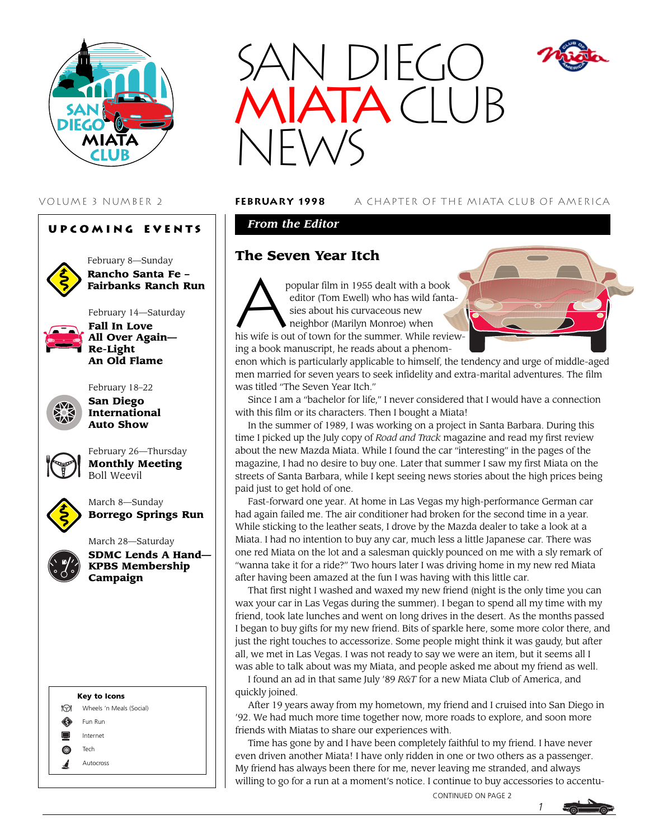

#### **Upcoming Events**



February 8—Sunday **Rancho Santa Fe – Fairbanks Ranch Run**

February 14—Saturday



**All Over Again— Re-Light An Old Flame**



**Fall In Love**

**San Diego International Auto Show**



February 26—Thursday **Monthly Meeting** Boll Weevil



March 8—Sunday **Borrego Springs Run**







VOLUME 3 NUMBER 2 **february 1998** A CHAPTER OF THE MIATA CLUB OF AMERICA

*From the Editor*

### **The Seven Year Itch**

popular film in 1955 dealt with a book<br>editor (Tom Ewell) who has wild fant<br>sies about his curvaceous new<br>neighbor (Marilyn Monroe) when editor (Tom Ewell) who has wild fanta sies about his curvaceous new neighbor (Marilyn Monroe) when his wife is out of town for the summer. While reviewing a book manuscript, he reads about a phenom-

enon which is particularly applicable to himself, the tendency and urge of middle-aged men married for seven years to seek infidelity and extra-marital adventures. The film was titled "The Seven Year Itch."

Since I am a "bachelor for life," I never considered that I would have a connection with this film or its characters. Then I bought a Miata!

In the summer of 1989, I was working on a project in Santa Barbara. During this time I picked up the July copy of *Road and Track* magazine and read my first review about the new Mazda Miata. While I found the car "interesting" in the pages of the magazine, I had no desire to buy one. Later that summer I saw my first Miata on the streets of Santa Barbara, while I kept seeing news stories about the high prices being paid just to get hold of one.

Fast-forward one year. At home in Las Vegas my high-performance German car had again failed me. The air conditioner had broken for the second time in a year. While sticking to the leather seats, I drove by the Mazda dealer to take a look at a Miata. I had no intention to buy any car, much less a little Japanese car. There was one red Miata on the lot and a salesman quickly pounced on me with a sly remark of "wanna take it for a ride?" Two hours later I was driving home in my new red Miata after having been amazed at the fun I was having with this little car.

That first night I washed and waxed my new friend (night is the only time you can wax your car in Las Vegas during the summer). I began to spend all my time with my friend, took late lunches and went on long drives in the desert. As the months passed I began to buy gifts for my new friend. Bits of sparkle here, some more color there, and just the right touches to accessorize. Some people might think it was gaudy, but after all, we met in Las Vegas. I was not ready to say we were an item, but it seems all I was able to talk about was my Miata, and people asked me about my friend as well.

I found an ad in that same July '89 *R&T* for a new Miata Club of America, and quickly joined.

After 19 years away from my hometown, my friend and I cruised into San Diego in '92. We had much more time together now, more roads to explore, and soon more friends with Miatas to share our experiences with.

Time has gone by and I have been completely faithful to my friend. I have never even driven another Miata! I have only ridden in one or two others as a passenger. My friend has always been there for me, never leaving me stranded, and always willing to go for a run at a moment's notice. I continue to buy accessories to accentu-

CONTINUED ON PAGE 2



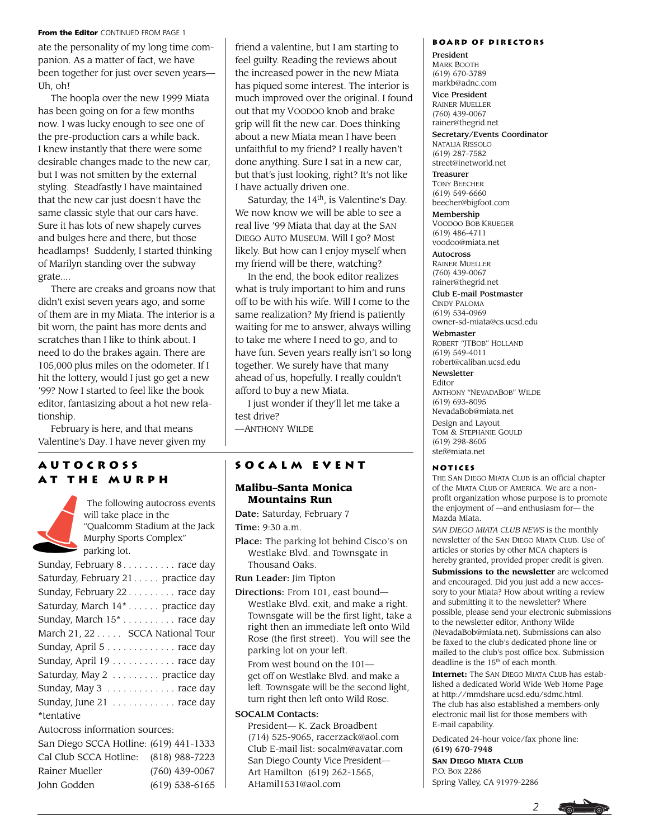#### From the Editor CONTINUED FROM PAGE 1

ate the personality of my long time companion. As a matter of fact, we have been together for just over seven years— Uh, oh!

The hoopla over the new 1999 Miata has been going on for a few months now. I was lucky enough to see one of the pre-production cars a while back. I knew instantly that there were some desirable changes made to the new car, but I was not smitten by the external styling. Steadfastly I have maintained that the new car just doesn't have the same classic style that our cars have. Sure it has lots of new shapely curves and bulges here and there, but those headlamps! Suddenly, I started thinking of Marilyn standing over the subway grate....

There are creaks and groans now that didn't exist seven years ago, and some of them are in my Miata. The interior is a bit worn, the paint has more dents and scratches than I like to think about. I need to do the brakes again. There are 105,000 plus miles on the odometer. If I hit the lottery, would I just go get a new '99? Now I started to feel like the book editor, fantasizing about a hot new relationship.

February is here, and that means Valentine's Day. I have never given my

#### **Autocross at the Murph**

 The following autocross events will take place in the "Qualcomm Stadium at the Jack Murphy Sports Complex" parking lot.

John Godden (619) 538-6165

friend a valentine, but I am starting to feel guilty. Reading the reviews about the increased power in the new Miata has piqued some interest. The interior is much improved over the original. I found out that my VOODOO knob and brake grip will fit the new car. Does thinking about a new Miata mean I have been unfaithful to my friend? I really haven't done anything. Sure I sat in a new car, but that's just looking, right? It's not like I have actually driven one.

Saturday, the  $14<sup>th</sup>$ , is Valentine's Day. We now know we will be able to see a real live '99 Miata that day at the SAN DIEGO AUTO MUSEUM. Will I go? Most likely. But how can I enjoy myself when my friend will be there, watching?

In the end, the book editor realizes what is truly important to him and runs off to be with his wife. Will I come to the same realization? My friend is patiently waiting for me to answer, always willing to take me where I need to go, and to have fun. Seven years really isn't so long together. We surely have that many ahead of us, hopefully. I really couldn't afford to buy a new Miata.

I just wonder if they'll let me take a test drive?

—ANTHONY WILDE

#### **Socalm event**

#### **Malibu–Santa Monica Mountains Run**

Date: Saturday, February 7

Time: 9:30 a.m.

Place: The parking lot behind Cisco's on Westlake Blvd. and Townsgate in Thousand Oaks.

Run Leader: Jim Tipton

Directions: From 101, east bound— Westlake Blvd. exit, and make a right. Townsgate will be the first light, take a right then an immediate left onto Wild Rose (the first street). You will see the parking lot on your left.

From west bound on the 101 get off on Westlake Blvd. and make a left. Townsgate will be the second light, turn right then left onto Wild Rose.

#### SOCALM Contacts:

President— K. Zack Broadbent (714) 525-9065, racerzack@aol.com Club E-mail list: socalm@avatar.com San Diego County Vice President— Art Hamilton (619) 262-1565, AHamil1531@aol.com

#### **Board of Directors**

President MARK BOOTH (619) 670-3789 markb@adnc.com

Vice President RAINER MUELLER (760) 439-0067 rainer@thegrid.net

Secretary/Events Coordinator NATALIA RISSOLO (619) 287-7582 street@inetworld.net

Treasurer TONY BEECHER (619) 549-6660 beecher@bigfoot.com

Membership VOODOO BOB KRUEGER (619) 486-4711 voodoo@miata.net

**Autocross** RAINER MUELLER (760) 439-0067 rainer@thegrid.net

Club E-mail Postmaster

CINDY PALOMA (619) 534-0969 owner-sd-miata@cs.ucsd.edu

Webmaster ROBERT "JTBOB" HOLLAND (619) 549-4011 robert@caliban.ucsd.edu

Newsletter

Editor ANTHONY "NEVADABOB" WILDE (619) 693-8095 NevadaBob@miata.net Design and Layout TOM & STEPHANIE GOULD (619) 298-8605 stef@miata.net

#### **Notices**

THE SAN DIEGO MIATA CLUB is an official chapter of the MIATA CLUB OF AMERICA. We are a nonprofit organization whose purpose is to promote the enjoyment of —and enthusiasm for— the Mazda Miata.

*SAN DIEGO MIATA CLUB NEWS* is the monthly newsletter of the SAN DIEGO MIATA CLUB. Use of articles or stories by other MCA chapters is hereby granted, provided proper credit is given.

**Submissions to the newsletter** are welcomed and encouraged. Did you just add a new accessory to your Miata? How about writing a review and submitting it to the newsletter? Where possible, please send your electronic submissions to the newsletter editor, Anthony Wilde (NevadaBob@miata.net). Submissions can also be faxed to the club's dedicated phone line or mailed to the club's post office box. Submission deadline is the 15<sup>th</sup> of each month.

**Internet:** The SAN DIEGO MIATA CLUB has established a dedicated World Wide Web Home Page at http://mmdshare.ucsd.edu/sdmc.html. The club has also established a members-only electronic mail list for those members with E-mail capability.

Dedicated 24-hour voice/fax phone line: (619) 670-7948

**SAN DIEGO MIATA CLUB** P.O. Box 2286 Spring Valley, CA 91979-2286

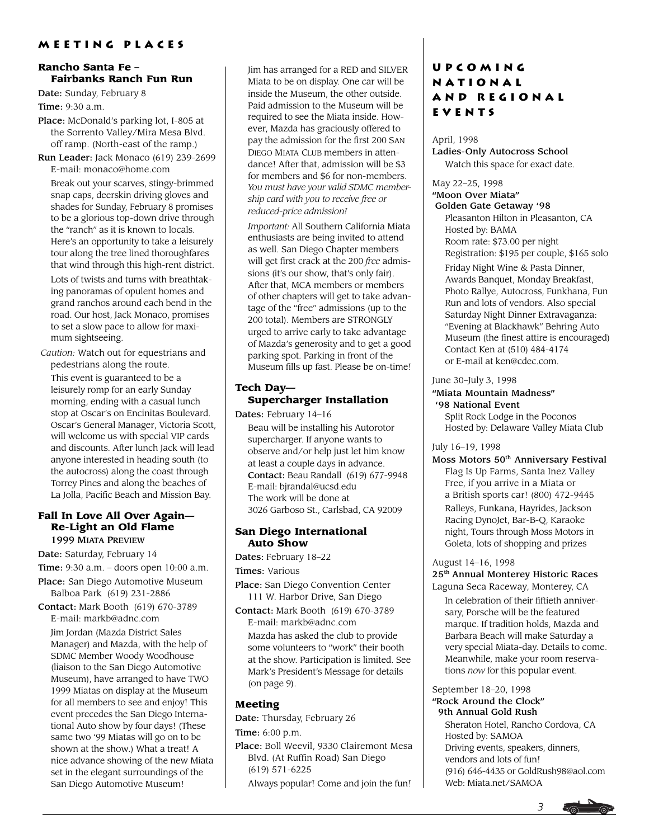#### **Rancho Santa Fe – Fairbanks Ranch Fun Run**

Date: Sunday, February 8

Time: 9:30 a.m.

- Place: McDonald's parking lot, I-805 at the Sorrento Valley/Mira Mesa Blvd. off ramp. (North-east of the ramp.)
- Run Leader: Jack Monaco (619) 239-2699 E-mail: monaco@home.com

Break out your scarves, stingy-brimmed snap caps, deerskin driving gloves and shades for Sunday, February 8 promises to be a glorious top-down drive through the "ranch" as it is known to locals. Here's an opportunity to take a leisurely tour along the tree lined thoroughfares that wind through this high-rent district.

Lots of twists and turns with breathtaking panoramas of opulent homes and grand ranchos around each bend in the road. Our host, Jack Monaco, promises to set a slow pace to allow for maximum sightseeing.

*Caution:* Watch out for equestrians and pedestrians along the route.

This event is guaranteed to be a leisurely romp for an early Sunday morning, ending with a casual lunch stop at Oscar's on Encinitas Boulevard. Oscar's General Manager, Victoria Scott, will welcome us with special VIP cards and discounts. After lunch Jack will lead anyone interested in heading south (to the autocross) along the coast through Torrey Pines and along the beaches of La Jolla, Pacific Beach and Mission Bay.

### **Fall In Love All Over Again— Re-Light an Old Flame**

1999 MIATA PREVIEW

Date: Saturday, February 14

Time: 9:30 a.m. – doors open 10:00 a.m. Place: San Diego Automotive Museum

Balboa Park (619) 231-2886

Contact: Mark Booth (619) 670-3789 E-mail: markb@adnc.com

Jim Jordan (Mazda District Sales Manager) and Mazda, with the help of SDMC Member Woody Woodhouse (liaison to the San Diego Automotive Museum), have arranged to have TWO 1999 Miatas on display at the Museum for all members to see and enjoy! This event precedes the San Diego International Auto show by four days! (These same two '99 Miatas will go on to be shown at the show.) What a treat! A nice advance showing of the new Miata set in the elegant surroundings of the San Diego Automotive Museum!

Jim has arranged for a RED and SILVER Miata to be on display. One car will be inside the Museum, the other outside. Paid admission to the Museum will be required to see the Miata inside. However, Mazda has graciously offered to pay the admission for the first 200 SAN DIEGO MIATA CLUB members in attendance! After that, admission will be \$3 for members and \$6 for non-members. *You must have your valid SDMC membership card with you to receive free or reduced-price admission!*

*Important:* All Southern California Miata enthusiasts are being invited to attend as well. San Diego Chapter members will get first crack at the 200 *free* admissions (it's our show, that's only fair). After that, MCA members or members of other chapters will get to take advantage of the "free" admissions (up to the 200 total). Members are STRONGLY urged to arrive early to take advantage of Mazda's generosity and to get a good parking spot. Parking in front of the Museum fills up fast. Please be on-time!

### **Tech Day— Supercharger Installation**

Dates: February 14–16 Beau will be installing his Autorotor supercharger. If anyone wants to observe and/or help just let him know at least a couple days in advance. Contact: Beau Randall (619) 677-9948 E-mail: bjrandal@ucsd.edu The work will be done at 3026 Garboso St., Carlsbad, CA 92009

#### **San Diego International Auto Show**

Dates: February 18–22

Times: Various

- Place: San Diego Convention Center 111 W. Harbor Drive, San Diego
- Contact: Mark Booth (619) 670-3789 E-mail: markb@adnc.com Mazda has asked the club to provide some volunteers to "work" their booth at the show. Participation is limited. See Mark's President's Message for details

## **Meeting**

Date: Thursday, February 26

Time: 6:00 p.m.

(on page 9).

Place: Boll Weevil, 9330 Clairemont Mesa Blvd. (At Ruffin Road) San Diego (619) 571-6225

Always popular! Come and join the fun!

### **Upcoming National and Regional EVENTS**

April, 1998

Ladies-Only Autocross School Watch this space for exact date.

#### May 22–25, 1998 "Moon Over Miata" Golden Gate Getaway '98

Pleasanton Hilton in Pleasanton, CA Hosted by: BAMA Room rate: \$73.00 per night Registration: \$195 per couple, \$165 solo Friday Night Wine & Pasta Dinner, Awards Banquet, Monday Breakfast, Photo Rallye, Autocross, Funkhana, Fun Run and lots of vendors. Also special Saturday Night Dinner Extravaganza: "Evening at Blackhawk" Behring Auto Museum (the finest attire is encouraged) Contact Ken at (510) 484-4174 or E-mail at ken@cdec.com.

June 30–July 3, 1998

#### "Miata Mountain Madness" '98 National Event

Split Rock Lodge in the Poconos Hosted by: Delaware Valley Miata Club

#### July 16–19, 1998

Moss Motors 50<sup>th</sup> Anniversary Festival Flag Is Up Farms, Santa Inez Valley Free, if you arrive in a Miata or a British sports car! (800) 472-9445 Ralleys, Funkana, Hayrides, Jackson Racing DynoJet, Bar-B-Q, Karaoke night, Tours through Moss Motors in Goleta, lots of shopping and prizes

#### August 14–16, 1998

25th Annual Monterey Historic Races

Laguna Seca Raceway, Monterey, CA In celebration of their fiftieth anniversary, Porsche will be the featured marque. If tradition holds, Mazda and Barbara Beach will make Saturday a very special Miata-day. Details to come. Meanwhile, make your room reservations *now* for this popular event.

September 18–20, 1998 "Rock Around the Clock" 9th Annual Gold Rush

Sheraton Hotel, Rancho Cordova, CA Hosted by: SAMOA Driving events, speakers, dinners, vendors and lots of fun! (916) 646-4435 or GoldRush98@aol.com Web: Miata.net/SAMOA

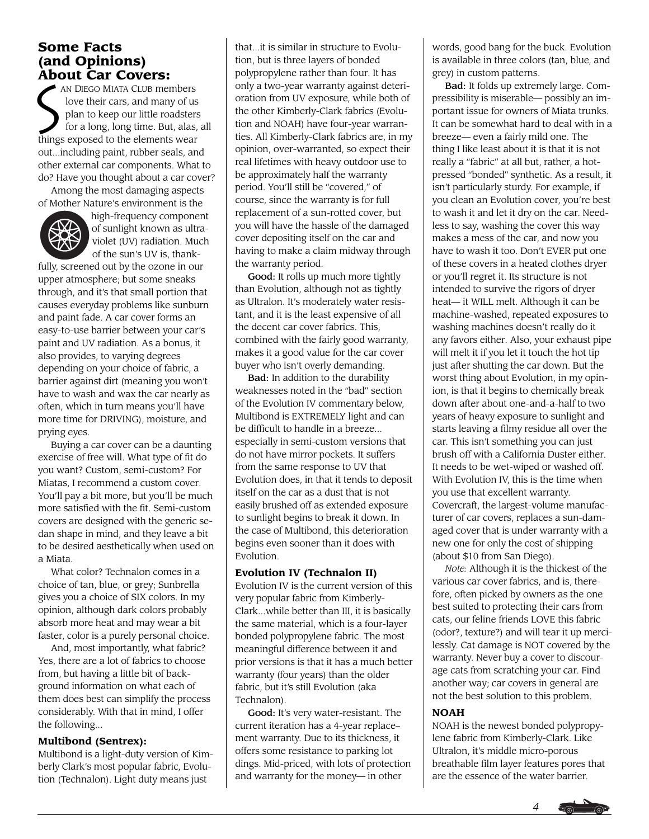# **Some Facts (and Opinions)**

**About Car Covers:**<br>
NA DIEGO MIATA CLUB men<br>
love their cars, and man<br>
plan to keep our little ro<br>
for a long, long time. Bu AN DIEGO MIATA CLUB members love their cars, and many of us plan to keep our little roadsters for a long, long time. But, alas, all things exposed to the elements wear out...including paint, rubber seals, and other external car components. What to do? Have you thought about a car cover?

Among the most damaging aspects of Mother Nature's environment is the



high-frequency component of sunlight known as ultraviolet (UV) radiation. Much of the sun's UV is, thank-

fully, screened out by the ozone in our upper atmosphere; but some sneaks through, and it's that small portion that causes everyday problems like sunburn and paint fade. A car cover forms an easy-to-use barrier between your car's paint and UV radiation. As a bonus, it also provides, to varying degrees depending on your choice of fabric, a barrier against dirt (meaning you won't have to wash and wax the car nearly as often, which in turn means you'll have more time for DRIVING), moisture, and prying eyes.

Buying a car cover can be a daunting exercise of free will. What type of fit do you want? Custom, semi-custom? For Miatas, I recommend a custom cover. You'll pay a bit more, but you'll be much more satisfied with the fit. Semi-custom covers are designed with the generic sedan shape in mind, and they leave a bit to be desired aesthetically when used on a Miata.

What color? Technalon comes in a choice of tan, blue, or grey; Sunbrella gives you a choice of SIX colors. In my opinion, although dark colors probably absorb more heat and may wear a bit faster, color is a purely personal choice.

And, most importantly, what fabric? Yes, there are a lot of fabrics to choose from, but having a little bit of background information on what each of them does best can simplify the process considerably. With that in mind, I offer the following...

#### **Multibond (Sentrex):**

Multibond is a light-duty version of Kimberly Clark's most popular fabric, Evolution (Technalon). Light duty means just

that...it is similar in structure to Evolution, but is three layers of bonded polypropylene rather than four. It has only a two-year warranty against deterioration from UV exposure, while both of the other Kimberly-Clark fabrics (Evolution and NOAH) have four-year warranties. All Kimberly-Clark fabrics are, in my opinion, over-warranted, so expect their real lifetimes with heavy outdoor use to be approximately half the warranty period. You'll still be "covered," of course, since the warranty is for full replacement of a sun-rotted cover, but you will have the hassle of the damaged cover depositing itself on the car and having to make a claim midway through the warranty period.

Good: It rolls up much more tightly than Evolution, although not as tightly as Ultralon. It's moderately water resistant, and it is the least expensive of all the decent car cover fabrics. This, combined with the fairly good warranty, makes it a good value for the car cover buyer who isn't overly demanding.

Bad: In addition to the durability weaknesses noted in the "bad" section of the Evolution IV commentary below, Multibond is EXTREMELY light and can be difficult to handle in a breeze... especially in semi-custom versions that do not have mirror pockets. It suffers from the same response to UV that Evolution does, in that it tends to deposit itself on the car as a dust that is not easily brushed off as extended exposure to sunlight begins to break it down. In the case of Multibond, this deterioration begins even sooner than it does with Evolution.

#### **Evolution IV (Technalon II)**

Evolution IV is the current version of this very popular fabric from Kimberly-Clark...while better than III, it is basically the same material, which is a four-layer bonded polypropylene fabric. The most meaningful difference between it and prior versions is that it has a much better warranty (four years) than the older fabric, but it's still Evolution (aka Technalon).

Good: It's very water-resistant. The current iteration has a 4-year replace– ment warranty. Due to its thickness, it offers some resistance to parking lot dings. Mid-priced, with lots of protection and warranty for the money— in other

words, good bang for the buck. Evolution is available in three colors (tan, blue, and grey) in custom patterns.

Bad: It folds up extremely large. Compressibility is miserable— possibly an important issue for owners of Miata trunks. It can be somewhat hard to deal with in a breeze— even a fairly mild one. The thing I like least about it is that it is not really a "fabric" at all but, rather, a hotpressed "bonded" synthetic. As a result, it isn't particularly sturdy. For example, if you clean an Evolution cover, you're best to wash it and let it dry on the car. Needless to say, washing the cover this way makes a mess of the car, and now you have to wash it too. Don't EVER put one of these covers in a heated clothes dryer or you'll regret it. Its structure is not intended to survive the rigors of dryer heat— it WILL melt. Although it can be machine-washed, repeated exposures to washing machines doesn't really do it any favors either. Also, your exhaust pipe will melt it if you let it touch the hot tip just after shutting the car down. But the worst thing about Evolution, in my opinion, is that it begins to chemically break down after about one-and-a-half to two years of heavy exposure to sunlight and starts leaving a filmy residue all over the car. This isn't something you can just brush off with a California Duster either. It needs to be wet-wiped or washed off. With Evolution IV, this is the time when you use that excellent warranty. Covercraft, the largest-volume manufacturer of car covers, replaces a sun-damaged cover that is under warranty with a new one for only the cost of shipping (about \$10 from San Diego).

*Note:* Although it is the thickest of the various car cover fabrics, and is, therefore, often picked by owners as the one best suited to protecting their cars from cats, our feline friends LOVE this fabric (odor?, texture?) and will tear it up mercilessly. Cat damage is NOT covered by the warranty. Never buy a cover to discourage cats from scratching your car. Find another way; car covers in general are not the best solution to this problem.

#### **NOAH**

NOAH is the newest bonded polypropylene fabric from Kimberly-Clark. Like Ultralon, it's middle micro-porous breathable film layer features pores that are the essence of the water barrier.

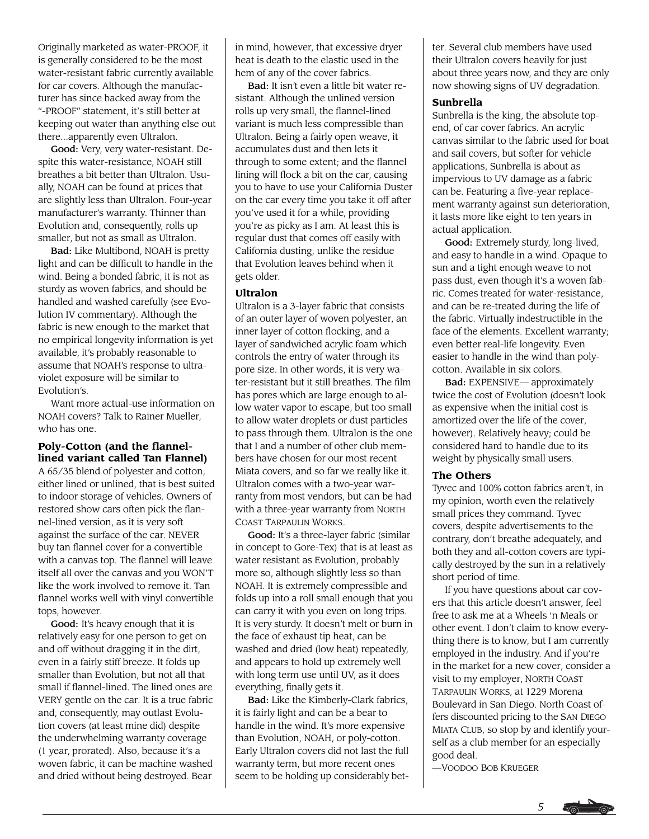Originally marketed as water-PROOF, it is generally considered to be the most water-resistant fabric currently available for car covers. Although the manufacturer has since backed away from the "-PROOF" statement, it's still better at keeping out water than anything else out there...apparently even Ultralon.

Good: Very, very water-resistant. Despite this water-resistance, NOAH still breathes a bit better than Ultralon. Usually, NOAH can be found at prices that are slightly less than Ultralon. Four-year manufacturer's warranty. Thinner than Evolution and, consequently, rolls up smaller, but not as small as Ultralon.

Bad: Like Multibond, NOAH is pretty light and can be difficult to handle in the wind. Being a bonded fabric, it is not as sturdy as woven fabrics, and should be handled and washed carefully (see Evolution IV commentary). Although the fabric is new enough to the market that no empirical longevity information is yet available, it's probably reasonable to assume that NOAH's response to ultraviolet exposure will be similar to Evolution's.

Want more actual-use information on NOAH covers? Talk to Rainer Mueller, who has one.

#### **Poly-Cotton (and the flannellined variant called Tan Flannel)**

A 65/35 blend of polyester and cotton, either lined or unlined, that is best suited to indoor storage of vehicles. Owners of restored show cars often pick the flannel-lined version, as it is very soft against the surface of the car. NEVER buy tan flannel cover for a convertible with a canvas top. The flannel will leave itself all over the canvas and you WON'T like the work involved to remove it. Tan flannel works well with vinyl convertible tops, however.

Good: It's heavy enough that it is relatively easy for one person to get on and off without dragging it in the dirt, even in a fairly stiff breeze. It folds up smaller than Evolution, but not all that small if flannel-lined. The lined ones are VERY gentle on the car. It is a true fabric and, consequently, may outlast Evolution covers (at least mine did) despite the underwhelming warranty coverage (1 year, prorated). Also, because it's a woven fabric, it can be machine washed and dried without being destroyed. Bear

in mind, however, that excessive dryer heat is death to the elastic used in the hem of any of the cover fabrics.

Bad: It isn't even a little bit water resistant. Although the unlined version rolls up very small, the flannel-lined variant is much less compressible than Ultralon. Being a fairly open weave, it accumulates dust and then lets it through to some extent; and the flannel lining will flock a bit on the car, causing you to have to use your California Duster on the car every time you take it off after you've used it for a while, providing you're as picky as I am. At least this is regular dust that comes off easily with California dusting, unlike the residue that Evolution leaves behind when it gets older.

#### **Ultralon**

Ultralon is a 3-layer fabric that consists of an outer layer of woven polyester, an inner layer of cotton flocking, and a layer of sandwiched acrylic foam which controls the entry of water through its pore size. In other words, it is very water-resistant but it still breathes. The film has pores which are large enough to allow water vapor to escape, but too small to allow water droplets or dust particles to pass through them. Ultralon is the one that I and a number of other club members have chosen for our most recent Miata covers, and so far we really like it. Ultralon comes with a two-year warranty from most vendors, but can be had with a three-year warranty from NORTH COAST TARPAULIN WORKS.

Good: It's a three-layer fabric (similar in concept to Gore-Tex) that is at least as water resistant as Evolution, probably more so, although slightly less so than NOAH. It is extremely compressible and folds up into a roll small enough that you can carry it with you even on long trips. It is very sturdy. It doesn't melt or burn in the face of exhaust tip heat, can be washed and dried (low heat) repeatedly, and appears to hold up extremely well with long term use until UV, as it does everything, finally gets it.

Bad: Like the Kimberly-Clark fabrics, it is fairly light and can be a bear to handle in the wind. It's more expensive than Evolution, NOAH, or poly-cotton. Early Ultralon covers did not last the full warranty term, but more recent ones seem to be holding up considerably better. Several club members have used their Ultralon covers heavily for just about three years now, and they are only now showing signs of UV degradation.

#### **Sunbrella**

Sunbrella is the king, the absolute topend, of car cover fabrics. An acrylic canvas similar to the fabric used for boat and sail covers, but softer for vehicle applications, Sunbrella is about as impervious to UV damage as a fabric can be. Featuring a five-year replacement warranty against sun deterioration, it lasts more like eight to ten years in actual application.

Good: Extremely sturdy, long-lived, and easy to handle in a wind. Opaque to sun and a tight enough weave to not pass dust, even though it's a woven fabric. Comes treated for water-resistance, and can be re-treated during the life of the fabric. Virtually indestructible in the face of the elements. Excellent warranty; even better real-life longevity. Even easier to handle in the wind than polycotton. Available in six colors.

Bad: EXPENSIVE— approximately twice the cost of Evolution (doesn't look as expensive when the initial cost is amortized over the life of the cover, however). Relatively heavy; could be considered hard to handle due to its weight by physically small users.

#### **The Others**

Tyvec and 100% cotton fabrics aren't, in my opinion, worth even the relatively small prices they command. Tyvec covers, despite advertisements to the contrary, don't breathe adequately, and both they and all-cotton covers are typically destroyed by the sun in a relatively short period of time.

If you have questions about car covers that this article doesn't answer, feel free to ask me at a Wheels 'n Meals or other event. I don't claim to know everything there is to know, but I am currently employed in the industry. And if you're in the market for a new cover, consider a visit to my employer, NORTH COAST TARPAULIN WORKS, at 1229 Morena Boulevard in San Diego. North Coast offers discounted pricing to the SAN DIEGO MIATA CLUB, so stop by and identify yourself as a club member for an especially good deal.

—VOODOO BOB KRUEGER

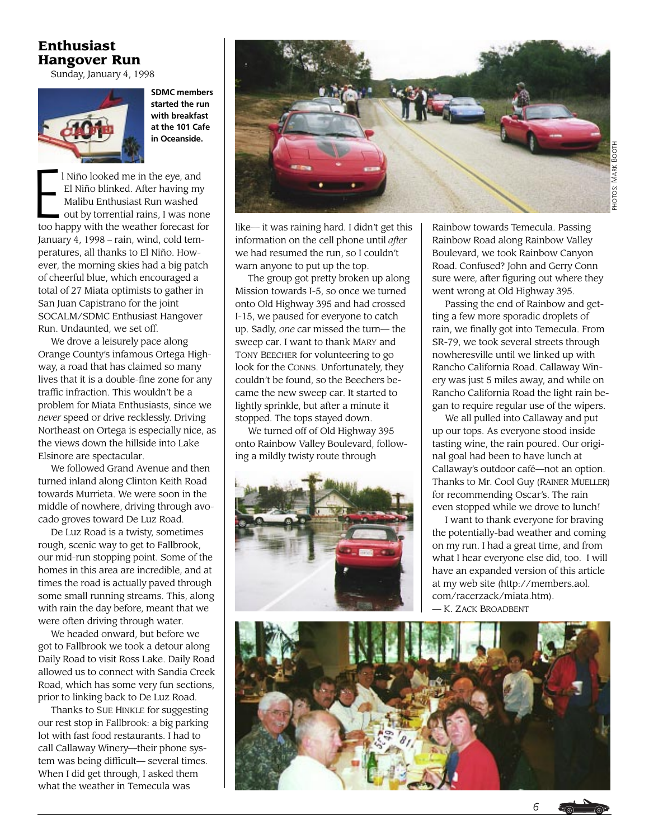### **Enthusiast Hangover Run**

Sunday, January 4, 1998



**SDMC members started the run with breakfast at the 101 Cafe in Oceanside.**

l Niño looked me in the eye, and El Niño blinked. After having my Malibu Enthusiast Run washed out by torrential rains, I was none too happy with the weather forecast for January 4, 1998 – rain, wind, cold temperatures, all thanks to El Niño. However, the morning skies had a big patch of cheerful blue, which encouraged a total of 27 Miata optimists to gather in San Juan Capistrano for the joint SOCALM/SDMC Enthusiast Hangover Run. Undaunted, we set off. E

We drove a leisurely pace along Orange County's infamous Ortega Highway, a road that has claimed so many lives that it is a double-fine zone for any traffic infraction. This wouldn't be a problem for Miata Enthusiasts, since we *never* speed or drive recklessly. Driving Northeast on Ortega is especially nice, as the views down the hillside into Lake Elsinore are spectacular.

We followed Grand Avenue and then turned inland along Clinton Keith Road towards Murrieta. We were soon in the middle of nowhere, driving through avocado groves toward De Luz Road.

De Luz Road is a twisty, sometimes rough, scenic way to get to Fallbrook, our mid-run stopping point. Some of the homes in this area are incredible, and at times the road is actually paved through some small running streams. This, along with rain the day before, meant that we were often driving through water.

We headed onward, but before we got to Fallbrook we took a detour along Daily Road to visit Ross Lake. Daily Road allowed us to connect with Sandia Creek Road, which has some very fun sections, prior to linking back to De Luz Road.

Thanks to SUE HINKLE for suggesting our rest stop in Fallbrook: a big parking lot with fast food restaurants. I had to call Callaway Winery—their phone system was being difficult— several times. When I did get through, I asked them what the weather in Temecula was



like— it was raining hard. I didn't get this information on the cell phone until *after* we had resumed the run, so I couldn't warn anyone to put up the top.

The group got pretty broken up along Mission towards I-5, so once we turned onto Old Highway 395 and had crossed I-15, we paused for everyone to catch up. Sadly, *one* car missed the turn— the sweep car. I want to thank MARY and TONY BEECHER for volunteering to go look for the CONNS. Unfortunately, they couldn't be found, so the Beechers became the new sweep car. It started to lightly sprinkle, but after a minute it stopped. The tops stayed down.

We turned off of Old Highway 395 onto Rainbow Valley Boulevard, following a mildly twisty route through



Rainbow towards Temecula. Passing Rainbow Road along Rainbow Valley Boulevard, we took Rainbow Canyon Road. Confused? John and Gerry Conn sure were, after figuring out where they went wrong at Old Highway 395.

Passing the end of Rainbow and getting a few more sporadic droplets of rain, we finally got into Temecula. From SR-79, we took several streets through nowheresville until we linked up with Rancho California Road. Callaway Winery was just 5 miles away, and while on Rancho California Road the light rain began to require regular use of the wipers.

We all pulled into Callaway and put up our tops. As everyone stood inside tasting wine, the rain poured. Our original goal had been to have lunch at Callaway's outdoor café—not an option. Thanks to Mr. Cool Guy (RAINER MUELLER) for recommending Oscar's. The rain even stopped while we drove to lunch!

I want to thank everyone for braving the potentially-bad weather and coming on my run. I had a great time, and from what I hear everyone else did, too. I will have an expanded version of this article at my web site (http://members.aol. com/racerzack/miata.htm). — K. ZACK BROADBENT

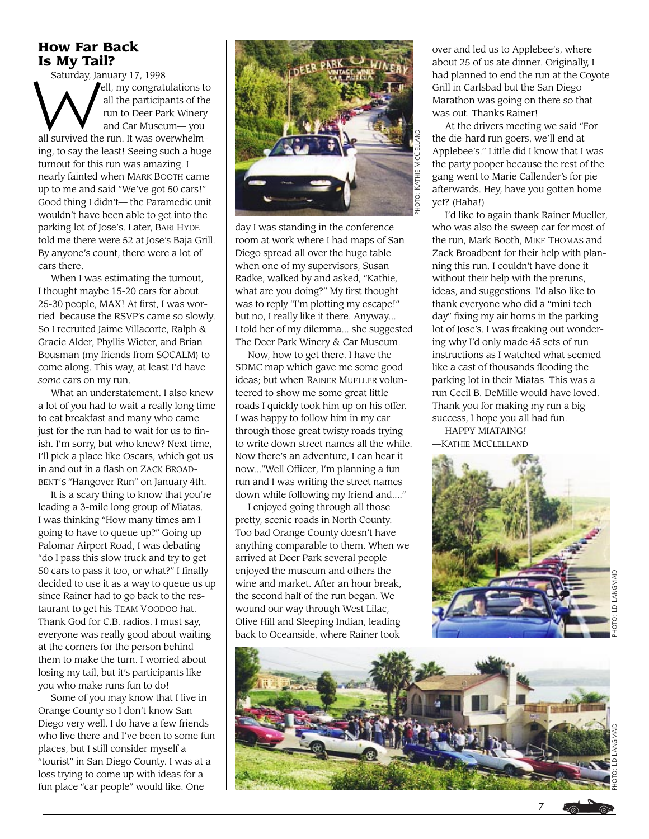### **How Far Back Is My Tail?**

Saturday, January 17, 1998

ell, my congratulations to all the participants of the run to Deer Park Winery and Car Museum— you all survived the run. It was overwhelming, to say the least! Seeing such a huge turnout for this run was amazing. I nearly fainted when MARK BOOTH came up to me and said "We've got 50 cars!" Good thing I didn't— the Paramedic unit wouldn't have been able to get into the parking lot of Jose's. Later, BARI HYDE told me there were 52 at Jose's Baja Grill. By anyone's count, there were a lot of cars there. Saturday, Ja

When I was estimating the turnout, I thought maybe 15-20 cars for about 25-30 people, MAX! At first, I was worried because the RSVP's came so slowly. So I recruited Jaime Villacorte, Ralph & Gracie Alder, Phyllis Wieter, and Brian Bousman (my friends from SOCALM) to come along. This way, at least I'd have *some* cars on my run.

What an understatement. I also knew a lot of you had to wait a really long time to eat breakfast and many who came just for the run had to wait for us to finish. I'm sorry, but who knew? Next time, I'll pick a place like Oscars, which got us in and out in a flash on ZACK BROAD-BENT'S "Hangover Run" on January 4th.

It is a scary thing to know that you're leading a 3-mile long group of Miatas. I was thinking "How many times am I going to have to queue up?" Going up Palomar Airport Road, I was debating "do I pass this slow truck and try to get 50 cars to pass it too, or what?" I finally decided to use it as a way to queue us up since Rainer had to go back to the restaurant to get his TEAM VOODOO hat. Thank God for C.B. radios. I must say, everyone was really good about waiting at the corners for the person behind them to make the turn. I worried about losing my tail, but it's participants like you who make runs fun to do!

Some of you may know that I live in Orange County so I don't know San Diego very well. I do have a few friends who live there and I've been to some fun places, but I still consider myself a "tourist" in San Diego County. I was at a loss trying to come up with ideas for a fun place "car people" would like. One



day I was standing in the conference room at work where I had maps of San Diego spread all over the huge table when one of my supervisors, Susan Radke, walked by and asked, "Kathie, what are you doing?" My first thought was to reply "I'm plotting my escape!" but no, I really like it there. Anyway... I told her of my dilemma... she suggested The Deer Park Winery & Car Museum.

Now, how to get there. I have the SDMC map which gave me some good ideas; but when RAINER MUELLER volunteered to show me some great little roads I quickly took him up on his offer. I was happy to follow him in my car through those great twisty roads trying to write down street names all the while. Now there's an adventure, I can hear it now..."Well Officer, I'm planning a fun run and I was writing the street names down while following my friend and...."

I enjoyed going through all those pretty, scenic roads in North County. Too bad Orange County doesn't have anything comparable to them. When we arrived at Deer Park several people enjoyed the museum and others the wine and market. After an hour break, the second half of the run began. We wound our way through West Lilac, Olive Hill and Sleeping Indian, leading back to Oceanside, where Rainer took

over and led us to Applebee's, where about 25 of us ate dinner. Originally, I had planned to end the run at the Coyote Grill in Carlsbad but the San Diego Marathon was going on there so that was out. Thanks Rainer!

At the drivers meeting we said "For the die-hard run goers, we'll end at Applebee's." Little did I know that I was the party pooper because the rest of the gang went to Marie Callender's for pie afterwards. Hey, have you gotten home yet? (Haha!)

I'd like to again thank Rainer Mueller, who was also the sweep car for most of the run, Mark Booth, MIKE THOMAS and Zack Broadbent for their help with planning this run. I couldn't have done it without their help with the preruns, ideas, and suggestions. I'd also like to thank everyone who did a "mini tech day" fixing my air horns in the parking lot of Jose's. I was freaking out wondering why I'd only made 45 sets of run instructions as I watched what seemed like a cast of thousands flooding the parking lot in their Miatas. This was a run Cecil B. DeMille would have loved. Thank you for making my run a big success, I hope you all had fun. HAPPY MIATAING!

—KATHIE MCCLELLAND



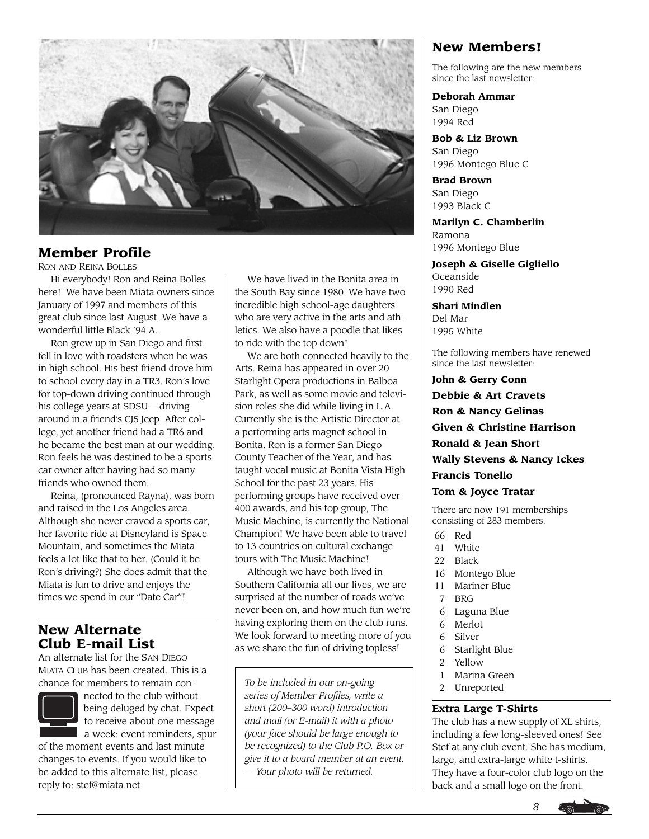

### **Member Profile**

RON AND REINA BOLLES

Hi everybody! Ron and Reina Bolles here! We have been Miata owners since January of 1997 and members of this great club since last August. We have a wonderful little Black '94 A.

Ron grew up in San Diego and first fell in love with roadsters when he was in high school. His best friend drove him to school every day in a TR3. Ron's love for top-down driving continued through his college years at SDSU— driving around in a friend's CJ5 Jeep. After college, yet another friend had a TR6 and he became the best man at our wedding. Ron feels he was destined to be a sports car owner after having had so many friends who owned them.

Reina, (pronounced Rayna), was born and raised in the Los Angeles area. Although she never craved a sports car, her favorite ride at Disneyland is Space Mountain, and sometimes the Miata feels a lot like that to her. (Could it be Ron's driving?) She does admit that the Miata is fun to drive and enjoys the times we spend in our "Date Car"!

### **New Alternate Club E-mail List**

An alternate list for the SAN DIEGO MIATA CLUB has been created. This is a chance for members to remain con-



nected to the club without being deluged by chat. Expect to receive about one message a week: event reminders, spur

of the moment events and last minute changes to events. If you would like to be added to this alternate list, please reply to: stef@miata.net

We have lived in the Bonita area in the South Bay since 1980. We have two incredible high school-age daughters who are very active in the arts and athletics. We also have a poodle that likes to ride with the top down!

We are both connected heavily to the Arts. Reina has appeared in over 20 Starlight Opera productions in Balboa Park, as well as some movie and television roles she did while living in L.A. Currently she is the Artistic Director at a performing arts magnet school in Bonita. Ron is a former San Diego County Teacher of the Year, and has taught vocal music at Bonita Vista High School for the past 23 years. His performing groups have received over 400 awards, and his top group, The Music Machine, is currently the National Champion! We have been able to travel to 13 countries on cultural exchange tours with The Music Machine!

Although we have both lived in Southern California all our lives, we are surprised at the number of roads we've never been on, and how much fun we're having exploring them on the club runs. We look forward to meeting more of you as we share the fun of driving topless!

*To be included in our on-going series of Member Profiles, write a short (200–300 word) introduction and mail (or E-mail) it with a photo (your face should be large enough to be recognized) to the Club P.O. Box or give it to a board member at an event. — Your photo will be returned.*

### **New Members!**

The following are the new members since the last newsletter:

**Deborah Ammar** San Diego

1994 Red

**Bob & Liz Brown** San Diego 1996 Montego Blue C

**Brad Brown** San Diego 1993 Black C

**Marilyn C. Chamberlin** Ramona 1996 Montego Blue

**Joseph & Giselle Gigliello** Oceanside 1990 Red

**Shari Mindlen** Del Mar 1995 White

The following members have renewed since the last newsletter:

**John & Gerry Conn Debbie & Art Cravets Ron & Nancy Gelinas Given & Christine Harrison Ronald & Jean Short Wally Stevens & Nancy Ickes Francis Tonello Tom & Joyce Tratar**

There are now 191 memberships consisting of 283 members.

- 66 Red
- 41 White
- 22 Black
- 16 Montego Blue
- 11 Mariner Blue
- 7 BRG
- 6 Laguna Blue
- 6 Merlot
- 6 Silver
- 6 Starlight Blue
- 2 Yellow
- 1 Marina Green
- 2 Unreported

#### **Extra Large T-Shirts**

The club has a new supply of XL shirts, including a few long-sleeved ones! See Stef at any club event. She has medium, large, and extra-large white t-shirts. They have a four-color club logo on the back and a small logo on the front.